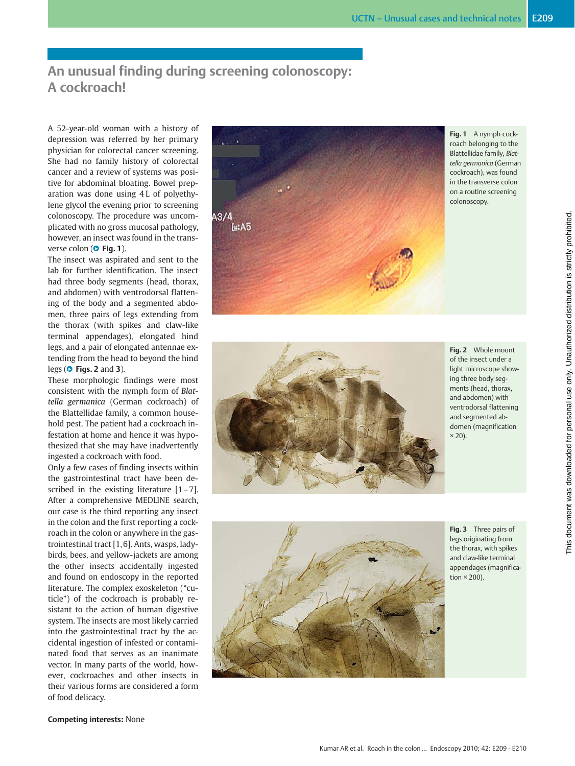# An unusual finding during screening colonoscopy: A cockroach!

A 52-year-old woman with a history of depression was referred by her primary physician for colorectal cancer screening. She had no family history of colorectal cancer and a review of systems was positive for abdominal bloating. Bowel preparation was done using 4 L of polyethylene glycol the evening prior to screening colonoscopy. The procedure was uncomplicated with no gross mucosal pathology, however, an insect was found in the transverse colon ( $\bullet$  Fig. 1).

The insect was aspirated and sent to the lab for further identification. The insect had three body segments (head, thorax, and abdomen) with ventrodorsal flattening of the body and a segmented abdomen, three pairs of legs extending from the thorax (with spikes and claw-like terminal appendages), elongated hind legs, and a pair of elongated antennae extending from the head to beyond the hind legs ( $\bullet$  Figs. 2 and 3).

These morphologic findings were most consistent with the nymph form of Blattella germanica (German cockroach) of the Blattellidae family, a common household pest. The patient had a cockroach infestation at home and hence it was hypothesized that she may have inadvertently ingested a cockroach with food.

Only a few cases of finding insects within the gastrointestinal tract have been described in the existing literature  $[1 - 7]$ . After a comprehensive MEDLINE search, our case is the third reporting any insect in the colon and the first reporting a cockroach in the colon or anywhere in the gastrointestinal tract [1, 6]. Ants, wasps, ladybirds, bees, and yellow-jackets are among the other insects accidentally ingested and found on endoscopy in the reported literature. The complex exoskeleton ("cuticle") of the cockroach is probably resistant to the action of human digestive system. The insects are most likely carried into the gastrointestinal tract by the accidental ingestion of infested or contaminated food that serves as an inanimate vector. In many parts of the world, however, cockroaches and other insects in their various forms are considered a form of food delicacy.



Fig. 1 A nymph cockroach belonging to the Blattellidae family, Blattella germanica (German cockroach), was found in the transverse colon on a routine screening colonoscopy.



Fig. 2 Whole mount of the insect under a light microscope showing three body segments (head, thorax, and abdomen) with ventrodorsal flattening and segmented abdomen (magnification  $\times$  20).



Fig. 3 Three pairs of legs originating from the thorax, with spikes and claw-like terminal appendages (magnification  $\times$  200).